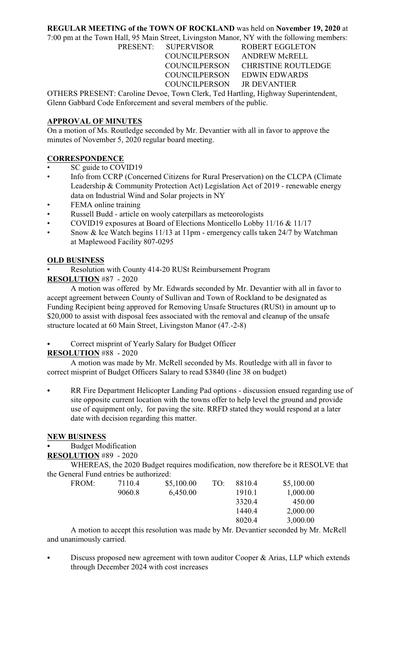# **REGULAR MEETING of the TOWN OF ROCKLAND** was held on **November 19, 2020** at

7:00 pm at the Town Hall, 95 Main Street, Livingston Manor, NY with the following members:

PRESENT: SUPERVISOR ROBERT EGGLETON COUNCILPERSON ANDREW McRELL COUNCILPERSON EDWIN EDWARDS COUNCILPERSON JR DEVANTIER

COUNCILPERSON CHRISTINE ROUTLEDGE

OTHERS PRESENT: Caroline Devoe, Town Clerk, Ted Hartling, Highway Superintendent, Glenn Gabbard Code Enforcement and several members of the public.

## **APPROVAL OF MINUTES**

On a motion of Ms. Routledge seconded by Mr. Devantier with all in favor to approve the minutes of November 5, 2020 regular board meeting.

## **CORRESPONDENCE**

- SC guide to COVID19
- Info from CCRP (Concerned Citizens for Rural Preservation) on the CLCPA (Climate Leadership & Community Protection Act) Legislation Act of 2019 - renewable energy data on Industrial Wind and Solar projects in NY
- FEMA online training
- Russell Budd article on wooly caterpillars as meteorologists
- COVID19 exposures at Board of Elections Monticello Lobby 11/16 & 11/17
- Snow & Ice Watch begins 11/13 at 11pm emergency calls taken 24/7 by Watchman at Maplewood Facility 807-0295

### **OLD BUSINESS**

• Resolution with County 414-20 RUSt Reimbursement Program

**RESOLUTION** #87 - 2020

A motion was offered by Mr. Edwards seconded by Mr. Devantier with all in favor to accept agreement between County of Sullivan and Town of Rockland to be designated as Funding Recipient being approved for Removing Unsafe Structures (RUSt) in amount up to \$20,000 to assist with disposal fees associated with the removal and cleanup of the unsafe structure located at 60 Main Street, Livingston Manor (47.-2-8)

Correct misprint of Yearly Salary for Budget Officer

## **RESOLUTION** #88 - 2020

A motion was made by Mr. McRell seconded by Ms. Routledge with all in favor to correct misprint of Budget Officers Salary to read \$3840 (line 38 on budget)

RR Fire Department Helicopter Landing Pad options - discussion ensued regarding use of site opposite current location with the towns offer to help level the ground and provide use of equipment only, for paving the site. RRFD stated they would respond at a later date with decision regarding this matter.

#### **NEW BUSINESS**

**Budget Modification** 

```
RESOLUTION #89 - 2020
```
WHEREAS, the 2020 Budget requires modification, now therefore be it RESOLVE that the General Fund entries be authorized:

| FROM:                                                                                                                                                                                                                                 | 7110.4                             | \$5,100.00 | TO: | 8810.4   | \$5,100.00 |
|---------------------------------------------------------------------------------------------------------------------------------------------------------------------------------------------------------------------------------------|------------------------------------|------------|-----|----------|------------|
|                                                                                                                                                                                                                                       | 9060.8                             | 6,450.00   |     | 1910.1   | 1,000.00   |
|                                                                                                                                                                                                                                       |                                    |            |     | 3320.4   | 450.00     |
|                                                                                                                                                                                                                                       |                                    |            |     | 1440.4   | 2,000.00   |
|                                                                                                                                                                                                                                       |                                    |            |     | 8020.4   | 3,000.00   |
| $\blacksquare$ . The set of the set of the set of the set of the set of the set of the set of the set of the set of the set of the set of the set of the set of the set of the set of the set of the set of the set of the set of the | $\sim$ $\sim$ $\sim$ $\sim$ $\sim$ |            |     | $\cdots$ | 111 17     |

A motion to accept this resolution was made by Mr. Devantier seconded by Mr. McRell and unanimously carried.

Discuss proposed new agreement with town auditor Cooper  $\&$  Arias, LLP which extends through December 2024 with cost increases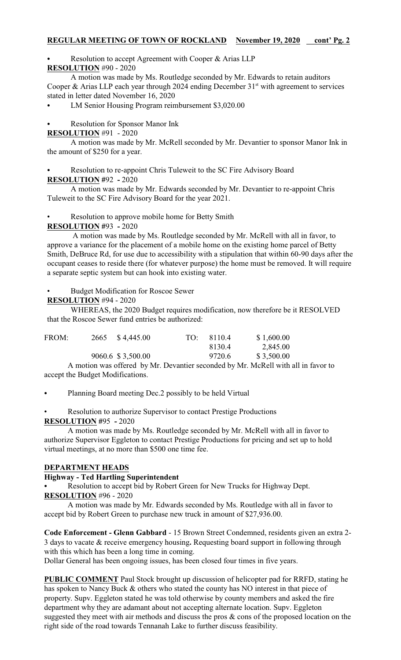# **REGULAR MEETING OF TOWN OF ROCKLAND November 19, 2020 cont' Pg. 2**

## Resolution to accept Agreement with Cooper & Arias LLP

## **RESOLUTION** #90 - 2020

A motion was made by Ms. Routledge seconded by Mr. Edwards to retain auditors Cooper & Arias LLP each year through 2024 ending December  $31<sup>st</sup>$  with agreement to services stated in letter dated November 16, 2020

LM Senior Housing Program reimbursement \$3,020.00

Resolution for Sponsor Manor Ink

**RESOLUTION** #91 - 2020

A motion was made by Mr. McRell seconded by Mr. Devantier to sponsor Manor Ink in the amount of \$250 for a year.

### Resolution to re-appoint Chris Tuleweit to the SC Fire Advisory Board **RESOLUTION #**92 **-** 2020

A motion was made by Mr. Edwards seconded by Mr. Devantier to re-appoint Chris Tuleweit to the SC Fire Advisory Board for the year 2021.

Resolution to approve mobile home for Betty Smith

**RESOLUTION #**93 **-** 2020

 A motion was made by Ms. Routledge seconded by Mr. McRell with all in favor, to approve a variance for the placement of a mobile home on the existing home parcel of Betty Smith, DeBruce Rd, for use due to accessibility with a stipulation that within 60-90 days after the occupant ceases to reside there (for whatever purpose) the home must be removed. It will require a separate septic system but can hook into existing water.

• Budget Modification for Roscoe Sewer

**RESOLUTION** #94 - 2020

WHEREAS, the 2020 Budget requires modification, now therefore be it RESOLVED that the Roscoe Sewer fund entries be authorized:

| FROM: | 2665 \$4,445.00   | TO: | 8110.4 | \$1,600.00 |
|-------|-------------------|-----|--------|------------|
|       |                   |     | 8130.4 | 2,845.00   |
|       | 9060.6 \$3,500.00 |     | 9720.6 | \$3,500.00 |

A motion was offered by Mr. Devantier seconded by Mr. McRell with all in favor to accept the Budget Modifications.

• Planning Board meeting Dec.2 possibly to be held Virtual

• Resolution to authorize Supervisor to contact Prestige Productions **RESOLUTION #**95 **-** 2020

A motion was made by Ms. Routledge seconded by Mr. McRell with all in favor to authorize Supervisor Eggleton to contact Prestige Productions for pricing and set up to hold virtual meetings, at no more than \$500 one time fee.

# **DEPARTMENT HEADS**

## **Highway - Ted Hartling Superintendent**

Resolution to accept bid by Robert Green for New Trucks for Highway Dept. **RESOLUTION** #96 - 2020

A motion was made by Mr. Edwards seconded by Ms. Routledge with all in favor to accept bid by Robert Green to purchase new truck in amount of \$27,936.00.

**Code Enforcement - Glenn Gabbard** - 15 Brown Street Condemned, residents given an extra 2- 3 days to vacate & receive emergency housing**.** Requesting board support in following through with this which has been a long time in coming.

Dollar General has been ongoing issues, has been closed four times in five years.

**PUBLIC COMMENT** Paul Stock brought up discussion of helicopter pad for RRFD, stating he has spoken to Nancy Buck & others who stated the county has NO interest in that piece of property. Supv. Eggleton stated he was told otherwise by county members and asked the fire department why they are adamant about not accepting alternate location. Supv. Eggleton suggested they meet with air methods and discuss the pros & cons of the proposed location on the right side of the road towards Tennanah Lake to further discuss feasibility.